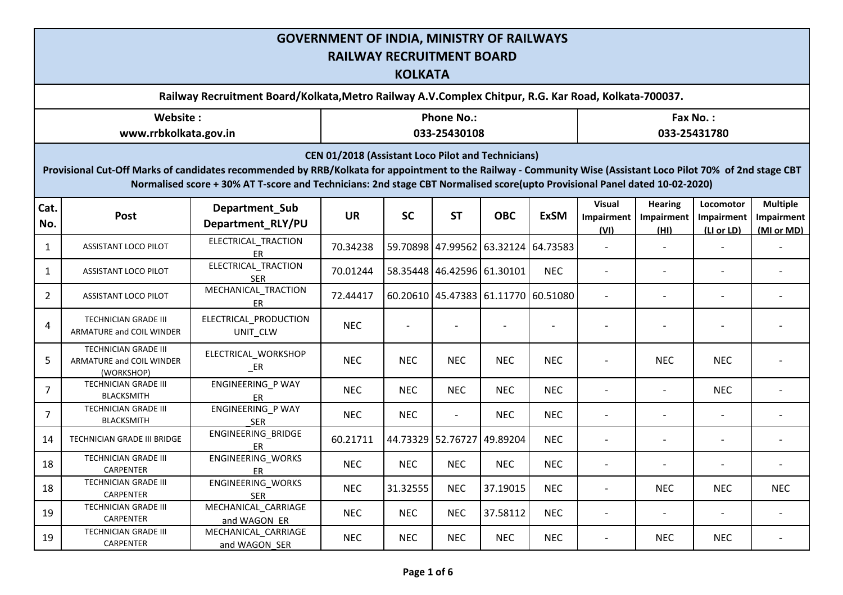|                                                                                                                                                                                                                                                                                                                                                          | <b>GOVERNMENT OF INDIA, MINISTRY OF RAILWAYS</b><br><b>RAILWAY RECRUITMENT BOARD</b><br><b>KOLKATA</b> |                                      |            |            |                                   |            |                                     |                                     |                                      |                                       |                                             |  |  |  |  |
|----------------------------------------------------------------------------------------------------------------------------------------------------------------------------------------------------------------------------------------------------------------------------------------------------------------------------------------------------------|--------------------------------------------------------------------------------------------------------|--------------------------------------|------------|------------|-----------------------------------|------------|-------------------------------------|-------------------------------------|--------------------------------------|---------------------------------------|---------------------------------------------|--|--|--|--|
|                                                                                                                                                                                                                                                                                                                                                          | Railway Recruitment Board/Kolkata, Metro Railway A.V. Complex Chitpur, R.G. Kar Road, Kolkata-700037.  |                                      |            |            |                                   |            |                                     |                                     |                                      |                                       |                                             |  |  |  |  |
|                                                                                                                                                                                                                                                                                                                                                          | Website:<br>www.rrbkolkata.gov.in                                                                      |                                      |            |            | <b>Phone No.:</b><br>033-25430108 |            |                                     | Fax No.:<br>033-25431780            |                                      |                                       |                                             |  |  |  |  |
| <b>CEN 01/2018 (Assistant Loco Pilot and Technicians)</b><br>Provisional Cut-Off Marks of candidates recommended by RRB/Kolkata for appointment to the Railway - Community Wise (Assistant Loco Pilot 70% of 2nd stage CBT<br>Normalised score + 30% AT T-score and Technicians: 2nd stage CBT Normalised score(upto Provisional Panel dated 10-02-2020) |                                                                                                        |                                      |            |            |                                   |            |                                     |                                     |                                      |                                       |                                             |  |  |  |  |
| Cat.<br>No.                                                                                                                                                                                                                                                                                                                                              | Post                                                                                                   | Department_Sub<br>Department_RLY/PU  | <b>UR</b>  | <b>SC</b>  | <b>ST</b>                         | <b>OBC</b> | <b>ExSM</b>                         | <b>Visual</b><br>Impairment<br>(VI) | <b>Hearing</b><br>Impairment<br>(HI) | Locomotor<br>Impairment<br>(LI or LD) | <b>Multiple</b><br>Impairment<br>(MI or MD) |  |  |  |  |
| 1                                                                                                                                                                                                                                                                                                                                                        | ASSISTANT LOCO PILOT                                                                                   | ELECTRICAL_TRACTION<br>ER            | 70.34238   |            |                                   |            | 59.70898 47.99562 63.32124 64.73583 | $\blacksquare$                      |                                      |                                       |                                             |  |  |  |  |
| 1                                                                                                                                                                                                                                                                                                                                                        | ASSISTANT LOCO PILOT                                                                                   | ELECTRICAL_TRACTION<br><b>SER</b>    | 70.01244   |            | 58.35448 46.42596 61.30101        |            | <b>NEC</b>                          | $\overline{a}$                      |                                      |                                       |                                             |  |  |  |  |
| 2                                                                                                                                                                                                                                                                                                                                                        | ASSISTANT LOCO PILOT                                                                                   | MECHANICAL TRACTION<br>ER            | 72.44417   |            |                                   |            | 60.20610 45.47383 61.11770 60.51080 |                                     |                                      | $\overline{\phantom{a}}$              |                                             |  |  |  |  |
| 4                                                                                                                                                                                                                                                                                                                                                        | <b>TECHNICIAN GRADE III</b><br>ARMATURE and COIL WINDER                                                | ELECTRICAL_PRODUCTION<br>UNIT_CLW    | <b>NEC</b> |            |                                   |            |                                     |                                     |                                      |                                       |                                             |  |  |  |  |
| 5                                                                                                                                                                                                                                                                                                                                                        | TECHNICIAN GRADE III<br>ARMATURE and COIL WINDER<br>(WORKSHOP)                                         | ELECTRICAL_WORKSHOP<br>$E$ R         | <b>NEC</b> | <b>NEC</b> | <b>NEC</b>                        | <b>NEC</b> | <b>NEC</b>                          | $\overline{a}$                      | <b>NEC</b>                           | <b>NEC</b>                            |                                             |  |  |  |  |
| 7                                                                                                                                                                                                                                                                                                                                                        | <b>TECHNICIAN GRADE III</b><br><b>BLACKSMITH</b>                                                       | ENGINEERING_P WAY<br>ER              | <b>NEC</b> | <b>NEC</b> | <b>NEC</b>                        | <b>NEC</b> | <b>NEC</b>                          | $\overline{\phantom{a}}$            |                                      | <b>NEC</b>                            |                                             |  |  |  |  |
| $\overline{7}$                                                                                                                                                                                                                                                                                                                                           | <b>TECHNICIAN GRADE III</b><br><b>BLACKSMITH</b>                                                       | ENGINEERING_P WAY<br><b>SER</b>      | <b>NEC</b> | <b>NEC</b> | $\overline{\phantom{a}}$          | <b>NEC</b> | <b>NEC</b>                          | $\overline{a}$                      | $\overline{\phantom{a}}$             | $\overline{\phantom{a}}$              |                                             |  |  |  |  |
| 14                                                                                                                                                                                                                                                                                                                                                       | TECHNICIAN GRADE III BRIDGE                                                                            | ENGINEERING_BRIDGE<br>ER             | 60.21711   |            | 44.73329 52.76727 49.89204        |            | <b>NEC</b>                          | $\overline{a}$                      |                                      | $\overline{\phantom{a}}$              |                                             |  |  |  |  |
| 18                                                                                                                                                                                                                                                                                                                                                       | TECHNICIAN GRADE III<br>CARPENTER                                                                      | ENGINEERING_WORKS<br>ER              | <b>NEC</b> | <b>NEC</b> | <b>NEC</b>                        | <b>NEC</b> | <b>NEC</b>                          | $\qquad \qquad -$                   |                                      |                                       |                                             |  |  |  |  |
| 18                                                                                                                                                                                                                                                                                                                                                       | TECHNICIAN GRADE III<br>CARPENTER                                                                      | ENGINEERING_WORKS<br><b>SER</b>      | <b>NEC</b> | 31.32555   | <b>NEC</b>                        | 37.19015   | <b>NEC</b>                          | $\overline{\phantom{a}}$            | <b>NEC</b>                           | <b>NEC</b>                            | <b>NEC</b>                                  |  |  |  |  |
| 19                                                                                                                                                                                                                                                                                                                                                       | TECHNICIAN GRADE III<br>CARPENTER                                                                      | MECHANICAL_CARRIAGE<br>and WAGON ER  | <b>NEC</b> | <b>NEC</b> | <b>NEC</b>                        | 37.58112   | <b>NEC</b>                          | $\qquad \qquad -$                   |                                      |                                       |                                             |  |  |  |  |
| 19                                                                                                                                                                                                                                                                                                                                                       | TECHNICIAN GRADE III<br>CARPENTER                                                                      | MECHANICAL_CARRIAGE<br>and WAGON SER | <b>NEC</b> | <b>NEC</b> | <b>NEC</b>                        | <b>NEC</b> | <b>NEC</b>                          | $\overline{\phantom{a}}$            | <b>NEC</b>                           | <b>NEC</b>                            |                                             |  |  |  |  |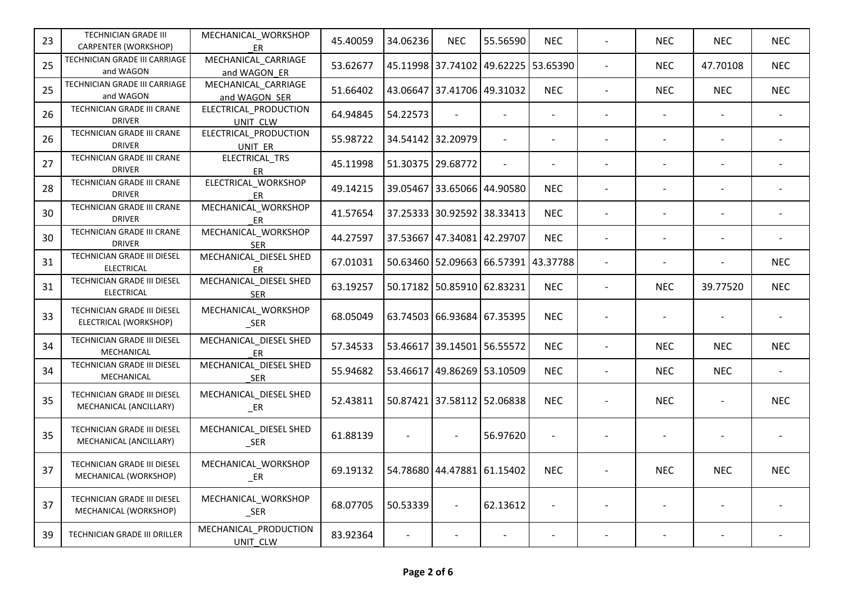| 23 | TECHNICIAN GRADE III<br>CARPENTER (WORKSHOP)          | MECHANICAL_WORKSHOP<br>ER             | 45.40059 | 34.06236                 | <b>NEC</b>                          | 55.56590 | <b>NEC</b>               |                          | NEC.                     | <b>NEC</b> | <b>NEC</b>               |
|----|-------------------------------------------------------|---------------------------------------|----------|--------------------------|-------------------------------------|----------|--------------------------|--------------------------|--------------------------|------------|--------------------------|
| 25 | TECHNICIAN GRADE III CARRIAGE<br>and WAGON            | MECHANICAL_CARRIAGE<br>and WAGON ER   | 53.62677 |                          | 45.11998 37.74102 49.62225 53.65390 |          |                          | $\blacksquare$           | <b>NEC</b>               | 47.70108   | <b>NEC</b>               |
| 25 | TECHNICIAN GRADE III CARRIAGE<br>and WAGON            | MECHANICAL_CARRIAGE<br>and WAGON SER  | 51.66402 |                          | 43.06647 37.41706 49.31032          |          | <b>NEC</b>               | $\overline{\phantom{a}}$ | <b>NEC</b>               | <b>NEC</b> | <b>NEC</b>               |
| 26 | TECHNICIAN GRADE III CRANE<br><b>DRIVER</b>           | ELECTRICAL PRODUCTION<br>UNIT CLW     | 64.94845 | 54.22573                 |                                     |          | $\overline{a}$           | $\sim$                   | $\overline{a}$           |            |                          |
| 26 | TECHNICIAN GRADE III CRANE<br><b>DRIVER</b>           | ELECTRICAL_PRODUCTION<br>UNIT ER      | 55.98722 |                          | 34.54142 32.20979                   |          |                          |                          |                          |            |                          |
| 27 | TECHNICIAN GRADE III CRANE<br><b>DRIVER</b>           | ELECTRICAL_TRS<br>ER                  | 45.11998 |                          | 51.30375 29.68772                   |          | $\overline{a}$           |                          |                          |            |                          |
| 28 | TECHNICIAN GRADE III CRANE<br><b>DRIVER</b>           | ELECTRICAL WORKSHOP<br>ER             | 49.14215 |                          | 39.05467 33.65066 44.90580          |          | <b>NEC</b>               |                          |                          |            |                          |
| 30 | TECHNICIAN GRADE III CRANE<br><b>DRIVER</b>           | MECHANICAL WORKSHOP<br><b>ER</b>      | 41.57654 |                          | 37.25333 30.92592 38.33413          |          | <b>NEC</b>               | $\blacksquare$           | $\sim$                   |            |                          |
| 30 | TECHNICIAN GRADE III CRANE<br><b>DRIVER</b>           | MECHANICAL_WORKSHOP<br><b>SER</b>     | 44.27597 |                          | 37.53667 47.34081 42.29707          |          | <b>NEC</b>               | $\sim$                   | $\overline{\phantom{a}}$ |            |                          |
| 31 | TECHNICIAN GRADE III DIESEL<br>ELECTRICAL             | MECHANICAL DIESEL SHED<br>ER          | 67.01031 |                          | 50.63460 52.09663 66.57391 43.37788 |          |                          | $\overline{a}$           |                          |            | <b>NEC</b>               |
| 31 | TECHNICIAN GRADE III DIESEL<br>ELECTRICAL             | MECHANICAL_DIESEL SHED<br><b>SER</b>  | 63.19257 |                          | 50.17182 50.85910 62.83231          |          | <b>NEC</b>               | $\overline{\phantom{a}}$ | <b>NEC</b>               | 39.77520   | <b>NEC</b>               |
| 33 | TECHNICIAN GRADE III DIESEL<br>ELECTRICAL (WORKSHOP)  | MECHANICAL_WORKSHOP<br>$\_SER$        | 68.05049 |                          | 63.74503 66.93684 67.35395          |          | <b>NEC</b>               |                          |                          |            |                          |
| 34 | TECHNICIAN GRADE III DIESEL<br>MECHANICAL             | MECHANICAL_DIESEL SHED<br>ER          | 57.34533 |                          | 53.46617 39.14501 56.55572          |          | <b>NEC</b>               | $\overline{a}$           | <b>NEC</b>               | <b>NEC</b> | <b>NEC</b>               |
| 34 | TECHNICIAN GRADE III DIESEL<br>MECHANICAL             | MECHANICAL_DIESEL SHED<br><b>SER</b>  | 55.94682 |                          | 53.46617 49.86269 53.10509          |          | <b>NEC</b>               | $\blacksquare$           | <b>NEC</b>               | <b>NEC</b> | $\overline{\phantom{a}}$ |
| 35 | TECHNICIAN GRADE III DIESEL<br>MECHANICAL (ANCILLARY) | MECHANICAL_DIESEL SHED<br>$E$ R       | 52.43811 |                          | 50.87421 37.58112 52.06838          |          | <b>NEC</b>               |                          | <b>NEC</b>               |            | <b>NEC</b>               |
| 35 | TECHNICIAN GRADE III DIESEL<br>MECHANICAL (ANCILLARY) | MECHANICAL_DIESEL SHED<br>$\_SER$     | 61.88139 | $\overline{\phantom{0}}$ | $\overline{\phantom{a}}$            | 56.97620 | $\overline{\phantom{a}}$ |                          |                          |            |                          |
| 37 | TECHNICIAN GRADE III DIESEL<br>MECHANICAL (WORKSHOP)  | MECHANICAL_WORKSHOP<br>$E$ R          | 69.19132 |                          | 54.78680 44.47881 61.15402          |          | <b>NEC</b>               |                          | <b>NEC</b>               | <b>NEC</b> | <b>NEC</b>               |
| 37 | TECHNICIAN GRADE III DIESEL<br>MECHANICAL (WORKSHOP)  | MECHANICAL_WORKSHOP<br>$\mathsf{SER}$ | 68.07705 | 50.53339                 | $\blacksquare$                      | 62.13612 | $\overline{\phantom{a}}$ |                          |                          |            |                          |
| 39 | TECHNICIAN GRADE III DRILLER                          | MECHANICAL_PRODUCTION<br>UNIT CLW     | 83.92364 | $\overline{\phantom{a}}$ |                                     |          |                          |                          |                          |            |                          |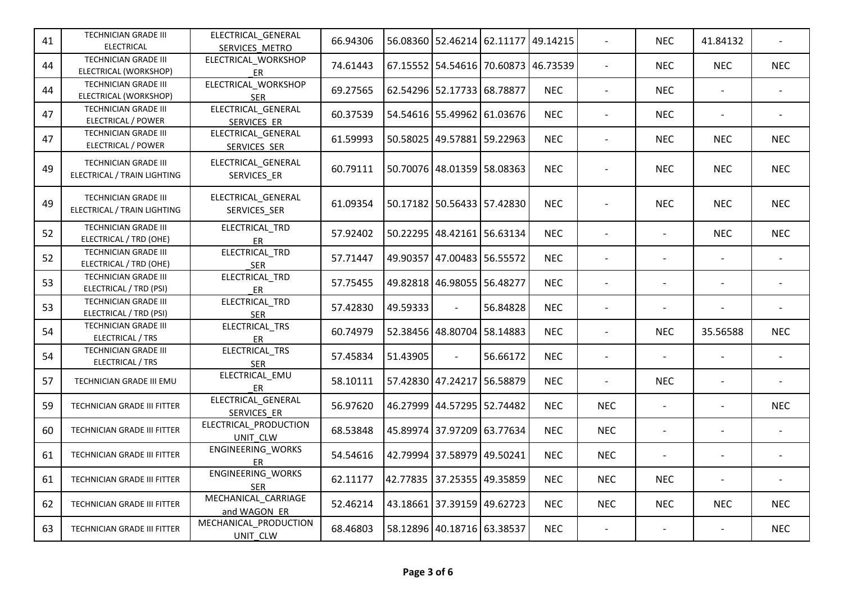| 41 | TECHNICIAN GRADE III<br><b>ELECTRICAL</b>                  | ELECTRICAL_GENERAL<br>SERVICES METRO     | 66.94306 |                            | 56.08360 52.46214 62.11177 49.14215 |          |            | $\overline{a}$           | <b>NEC</b>               | 41.84132                 |            |
|----|------------------------------------------------------------|------------------------------------------|----------|----------------------------|-------------------------------------|----------|------------|--------------------------|--------------------------|--------------------------|------------|
| 44 | TECHNICIAN GRADE III<br>ELECTRICAL (WORKSHOP)              | ELECTRICAL_WORKSHOP<br>ER                | 74.61443 |                            | 67.15552 54.54616 70.60873 46.73539 |          |            |                          | <b>NEC</b>               | <b>NEC</b>               | <b>NEC</b> |
| 44 | TECHNICIAN GRADE III<br>ELECTRICAL (WORKSHOP)              | ELECTRICAL WORKSHOP<br><b>SER</b>        | 69.27565 |                            | 62.54296 52.17733 68.78877          |          | <b>NEC</b> |                          | <b>NEC</b>               |                          |            |
| 47 | TECHNICIAN GRADE III<br>ELECTRICAL / POWER                 | ELECTRICAL_GENERAL<br>SERVICES ER        | 60.37539 |                            | 54.54616 55.49962 61.03676          |          | <b>NEC</b> |                          | <b>NEC</b>               | $\overline{\phantom{a}}$ |            |
| 47 | <b>TECHNICIAN GRADE III</b><br>ELECTRICAL / POWER          | ELECTRICAL_GENERAL<br>SERVICES SER       | 61.59993 |                            | 50.58025 49.57881 59.22963          |          | <b>NEC</b> |                          | <b>NEC</b>               | <b>NEC</b>               | <b>NEC</b> |
| 49 | TECHNICIAN GRADE III<br>ELECTRICAL / TRAIN LIGHTING        | ELECTRICAL_GENERAL<br>SERVICES_ER        | 60.79111 |                            | 50.70076 48.01359 58.08363          |          | <b>NEC</b> |                          | <b>NEC</b>               | <b>NEC</b>               | <b>NEC</b> |
| 49 | <b>TECHNICIAN GRADE III</b><br>ELECTRICAL / TRAIN LIGHTING | ELECTRICAL_GENERAL<br>SERVICES_SER       | 61.09354 |                            | 50.17182 50.56433 57.42830          |          | <b>NEC</b> |                          | <b>NEC</b>               | <b>NEC</b>               | <b>NEC</b> |
| 52 | <b>TECHNICIAN GRADE III</b><br>ELECTRICAL / TRD (OHE)      | ELECTRICAL_TRD<br>ER                     | 57.92402 |                            | 50.22295 48.42161 56.63134          |          | <b>NEC</b> |                          | $\overline{\phantom{a}}$ | <b>NEC</b>               | <b>NEC</b> |
| 52 | <b>TECHNICIAN GRADE III</b><br>ELECTRICAL / TRD (OHE)      | ELECTRICAL_TRD<br><b>SER</b>             | 57.71447 |                            | 49.90357 47.00483 56.55572          |          | <b>NEC</b> | $\blacksquare$           | $\overline{\phantom{a}}$ | $\overline{\phantom{a}}$ |            |
| 53 | <b>TECHNICIAN GRADE III</b><br>ELECTRICAL / TRD (PSI)      | ELECTRICAL TRD<br>ER                     | 57.75455 |                            | 49.82818 46.98055 56.48277          |          | <b>NEC</b> | $\blacksquare$           |                          |                          |            |
| 53 | TECHNICIAN GRADE III<br>ELECTRICAL / TRD (PSI)             | ELECTRICAL_TRD<br><b>SER</b>             | 57.42830 | 49.59333                   |                                     | 56.84828 | <b>NEC</b> |                          |                          |                          |            |
| 54 | TECHNICIAN GRADE III<br>ELECTRICAL / TRS                   | ELECTRICAL_TRS<br>ER                     | 60.74979 |                            | 52.38456 48.80704 58.14883          |          | <b>NEC</b> |                          | <b>NEC</b>               | 35.56588                 | <b>NEC</b> |
| 54 | TECHNICIAN GRADE III<br>ELECTRICAL / TRS                   | ELECTRICAL TRS<br><b>SER</b>             | 57.45834 | 51.43905                   | $\overline{\phantom{a}}$            | 56.66172 | <b>NEC</b> | $\overline{\phantom{a}}$ | $\overline{a}$           | $\overline{\phantom{a}}$ |            |
| 57 | TECHNICIAN GRADE III EMU                                   | ELECTRICAL_EMU<br>ER                     | 58.10111 |                            | 57.42830 47.24217 56.58879          |          | <b>NEC</b> |                          | <b>NEC</b>               | $\overline{\phantom{a}}$ |            |
| 59 | TECHNICIAN GRADE III FITTER                                | ELECTRICAL_GENERAL<br>SERVICES ER        | 56.97620 |                            | 46.27999 44.57295 52.74482          |          | <b>NEC</b> | <b>NEC</b>               | $\overline{a}$           | $\sim$                   | <b>NEC</b> |
| 60 | TECHNICIAN GRADE III FITTER                                | ELECTRICAL_PRODUCTION<br>UNIT CLW        | 68.53848 |                            | 45.89974 37.97209 63.77634          |          | <b>NEC</b> | <b>NEC</b>               | $\overline{a}$           | $\overline{\phantom{a}}$ |            |
| 61 | TECHNICIAN GRADE III FITTER                                | ENGINEERING_WORKS<br>ER                  | 54.54616 |                            | 42.79994 37.58979 49.50241          |          | <b>NEC</b> | <b>NEC</b>               | $\overline{\phantom{a}}$ | $\overline{a}$           |            |
| 61 | TECHNICIAN GRADE III FITTER                                | ENGINEERING_WORKS<br><b>SER</b>          | 62.11177 | 42.77835 37.25355 49.35859 |                                     |          | <b>NEC</b> | <b>NEC</b>               | <b>NEC</b>               | $\blacksquare$           |            |
| 62 | TECHNICIAN GRADE III FITTER                                | MECHANICAL CARRIAGE<br>and WAGON ER      | 52.46214 |                            | 43.18661 37.39159 49.62723          |          | <b>NEC</b> | <b>NEC</b>               | <b>NEC</b>               | <b>NEC</b>               | <b>NEC</b> |
| 63 | TECHNICIAN GRADE III FITTER                                | MECHANICAL_PRODUCTION<br><b>UNIT CLW</b> | 68.46803 |                            | 58.12896 40.18716 63.38537          |          | <b>NEC</b> | $\blacksquare$           | $\overline{\phantom{a}}$ | $\overline{\phantom{a}}$ | <b>NEC</b> |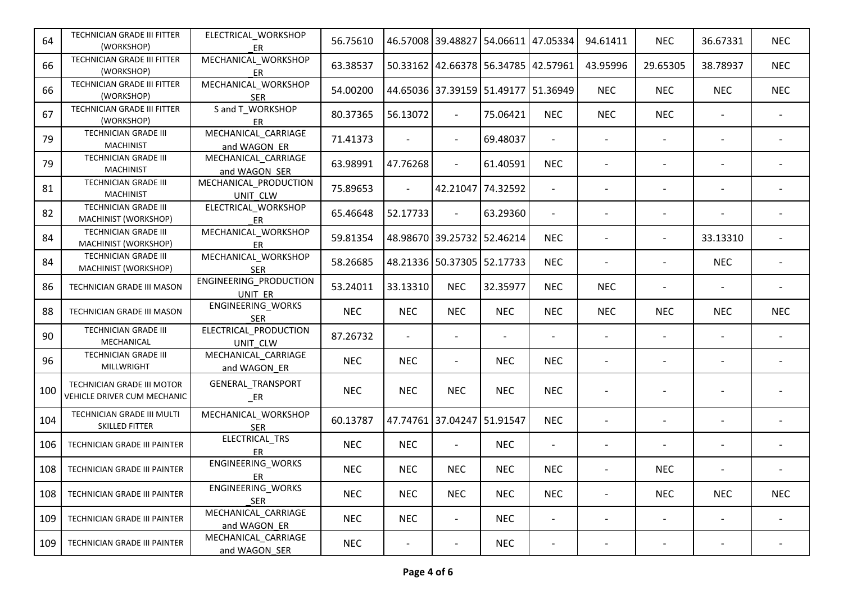| 64  | TECHNICIAN GRADE III FITTER<br>(WORKSHOP)                 | ELECTRICAL_WORKSHOP<br><b>ER</b>     | 56.75610   |                          |                            | 46.57008 39.48827 54.06611 47.05334 |                          | 94.61411   | <b>NEC</b> | 36.67331                 | <b>NEC</b> |
|-----|-----------------------------------------------------------|--------------------------------------|------------|--------------------------|----------------------------|-------------------------------------|--------------------------|------------|------------|--------------------------|------------|
| 66  | TECHNICIAN GRADE III FITTER<br>(WORKSHOP)                 | MECHANICAL_WORKSHOP<br>ER            | 63.38537   |                          |                            | 50.33162 42.66378 56.34785 42.57961 |                          | 43.95996   | 29.65305   | 38.78937                 | <b>NEC</b> |
| 66  | TECHNICIAN GRADE III FITTER<br>(WORKSHOP)                 | MECHANICAL_WORKSHOP<br><b>SER</b>    | 54.00200   |                          |                            | 44.65036 37.39159 51.49177 51.36949 |                          | <b>NEC</b> | <b>NEC</b> | <b>NEC</b>               | <b>NEC</b> |
| 67  | TECHNICIAN GRADE III FITTER<br>(WORKSHOP)                 | S and T_WORKSHOP<br>ER               | 80.37365   | 56.13072                 | $\overline{\phantom{a}}$   | 75.06421                            | <b>NEC</b>               | <b>NEC</b> | <b>NEC</b> |                          |            |
| 79  | TECHNICIAN GRADE III<br><b>MACHINIST</b>                  | MECHANICAL_CARRIAGE<br>and WAGON ER  | 71.41373   |                          | $\overline{\phantom{a}}$   | 69.48037                            | $\overline{\phantom{a}}$ |            |            |                          |            |
| 79  | TECHNICIAN GRADE III<br><b>MACHINIST</b>                  | MECHANICAL_CARRIAGE<br>and WAGON SER | 63.98991   | 47.76268                 | $\overline{\phantom{a}}$   | 61.40591                            | <b>NEC</b>               |            |            |                          |            |
| 81  | TECHNICIAN GRADE III<br><b>MACHINIST</b>                  | MECHANICAL_PRODUCTION<br>UNIT CLW    | 75.89653   | $\overline{a}$           |                            | 42.21047 74.32592                   | $\overline{\phantom{a}}$ |            |            |                          |            |
| 82  | TECHNICIAN GRADE III<br>MACHINIST (WORKSHOP)              | ELECTRICAL_WORKSHOP<br><b>ER</b>     | 65.46648   | 52.17733                 | $\overline{\phantom{a}}$   | 63.29360                            | $-$                      |            |            |                          |            |
| 84  | TECHNICIAN GRADE III<br>MACHINIST (WORKSHOP)              | MECHANICAL_WORKSHOP<br>ER            | 59.81354   |                          | 48.98670 39.25732 52.46214 |                                     | <b>NEC</b>               |            |            | 33.13310                 |            |
| 84  | TECHNICIAN GRADE III<br>MACHINIST (WORKSHOP)              | MECHANICAL WORKSHOP<br><b>SER</b>    | 58.26685   |                          | 48.21336 50.37305 52.17733 |                                     | <b>NEC</b>               |            |            | <b>NEC</b>               |            |
| 86  | TECHNICIAN GRADE III MASON                                | ENGINEERING_PRODUCTION<br>UNIT ER    | 53.24011   | 33.13310                 | <b>NEC</b>                 | 32.35977                            | <b>NEC</b>               | <b>NEC</b> |            | $\overline{\phantom{a}}$ |            |
| 88  | TECHNICIAN GRADE III MASON                                | ENGINEERING_WORKS<br><b>SER</b>      | <b>NEC</b> | <b>NEC</b>               | <b>NEC</b>                 | <b>NEC</b>                          | <b>NEC</b>               | <b>NEC</b> | <b>NEC</b> | <b>NEC</b>               | <b>NEC</b> |
| 90  | TECHNICIAN GRADE III<br>MECHANICAL                        | ELECTRICAL_PRODUCTION<br>UNIT CLW    | 87.26732   | $\overline{\phantom{a}}$ | $\overline{\phantom{a}}$   |                                     |                          |            |            |                          |            |
| 96  | TECHNICIAN GRADE III<br>MILLWRIGHT                        | MECHANICAL_CARRIAGE<br>and WAGON ER  | <b>NEC</b> | <b>NEC</b>               | $\overline{\phantom{a}}$   | <b>NEC</b>                          | <b>NEC</b>               |            |            |                          |            |
| 100 | TECHNICIAN GRADE III MOTOR<br>VEHICLE DRIVER CUM MECHANIC | GENERAL_TRANSPORT<br>$E$ R           | <b>NEC</b> | <b>NEC</b>               | <b>NEC</b>                 | <b>NEC</b>                          | <b>NEC</b>               |            |            |                          |            |
| 104 | TECHNICIAN GRADE III MULTI<br>SKILLED FITTER              | MECHANICAL_WORKSHOP<br><b>SER</b>    | 60.13787   |                          | 47.74761 37.04247 51.91547 |                                     | <b>NEC</b>               |            |            |                          |            |
| 106 | TECHNICIAN GRADE III PAINTER                              | ELECTRICAL_TRS<br>ER                 | <b>NEC</b> | <b>NEC</b>               | $\overline{\phantom{a}}$   | <b>NEC</b>                          | $\overline{\phantom{a}}$ |            |            |                          |            |
| 108 | TECHNICIAN GRADE III PAINTER                              | ENGINEERING_WORKS<br>ER              | <b>NEC</b> | <b>NEC</b>               | <b>NEC</b>                 | <b>NEC</b>                          | <b>NEC</b>               |            | <b>NEC</b> |                          |            |
| 108 | TECHNICIAN GRADE III PAINTER                              | ENGINEERING_WORKS<br><b>SER</b>      | <b>NEC</b> | <b>NEC</b>               | <b>NEC</b>                 | <b>NEC</b>                          | <b>NEC</b>               |            | <b>NEC</b> | <b>NEC</b>               | <b>NEC</b> |
| 109 | TECHNICIAN GRADE III PAINTER                              | MECHANICAL_CARRIAGE<br>and WAGON ER  | <b>NEC</b> | <b>NEC</b>               | $\overline{\phantom{a}}$   | <b>NEC</b>                          | $\overline{\phantom{0}}$ |            |            |                          |            |
| 109 | TECHNICIAN GRADE III PAINTER                              | MECHANICAL_CARRIAGE<br>and WAGON SER | <b>NEC</b> |                          |                            | <b>NEC</b>                          | -                        |            |            |                          |            |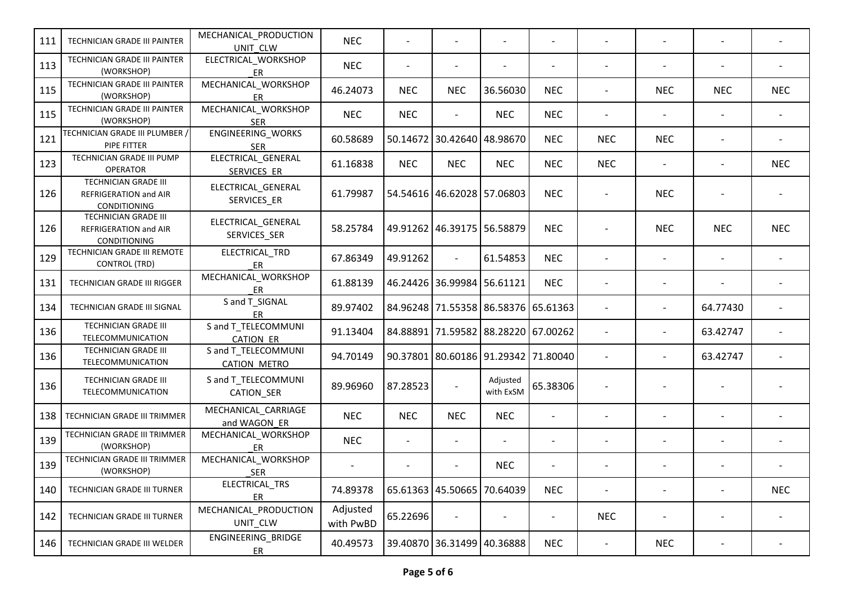| 111 | TECHNICIAN GRADE III PAINTER                                  | MECHANICAL_PRODUCTION<br>UNIT CLW          | <b>NEC</b>            |            |                            |                                     |                          |                              |                          |                          |            |
|-----|---------------------------------------------------------------|--------------------------------------------|-----------------------|------------|----------------------------|-------------------------------------|--------------------------|------------------------------|--------------------------|--------------------------|------------|
| 113 | TECHNICIAN GRADE III PAINTER<br>(WORKSHOP)                    | ELECTRICAL_WORKSHOP<br>ER                  | <b>NEC</b>            |            |                            |                                     |                          |                              |                          |                          |            |
| 115 | TECHNICIAN GRADE III PAINTER<br>(WORKSHOP)                    | MECHANICAL_WORKSHOP<br>ER                  | 46.24073              | <b>NEC</b> | <b>NEC</b>                 | 36.56030                            | <b>NEC</b>               | $\overline{\phantom{a}}$     | <b>NEC</b>               | <b>NEC</b>               | <b>NEC</b> |
| 115 | TECHNICIAN GRADE III PAINTER<br>(WORKSHOP)                    | MECHANICAL_WORKSHOP<br><b>SER</b>          | <b>NEC</b>            | <b>NEC</b> | $\overline{\phantom{a}}$   | <b>NEC</b>                          | <b>NEC</b>               | $\overline{\phantom{a}}$     | $\overline{\phantom{a}}$ | $\overline{\phantom{a}}$ |            |
| 121 | TECHNICIAN GRADE III PLUMBER /<br>PIPE FITTER                 | ENGINEERING_WORKS<br><b>SER</b>            | 60.58689              |            | 50.14672 30.42640 48.98670 |                                     | <b>NEC</b>               | <b>NEC</b>                   | <b>NEC</b>               |                          |            |
| 123 | TECHNICIAN GRADE III PUMP<br><b>OPERATOR</b>                  | ELECTRICAL_GENERAL<br>SERVICES ER          | 61.16838              | <b>NEC</b> | <b>NEC</b>                 | <b>NEC</b>                          | <b>NEC</b>               | <b>NEC</b>                   |                          |                          | <b>NEC</b> |
| 126 | TECHNICIAN GRADE III<br>REFRIGERATION and AIR<br>CONDITIONING | ELECTRICAL_GENERAL<br>SERVICES_ER          | 61.79987              |            | 54.54616 46.62028 57.06803 |                                     | <b>NEC</b>               |                              | <b>NEC</b>               |                          |            |
| 126 | TECHNICIAN GRADE III<br>REFRIGERATION and AIR<br>CONDITIONING | ELECTRICAL_GENERAL<br>SERVICES_SER         | 58.25784              |            | 49.91262 46.39175 56.58879 |                                     | <b>NEC</b>               |                              | <b>NEC</b>               | <b>NEC</b>               | <b>NEC</b> |
| 129 | TECHNICIAN GRADE III REMOTE<br><b>CONTROL (TRD)</b>           | ELECTRICAL TRD<br>ER                       | 67.86349              | 49.91262   | $\blacksquare$             | 61.54853                            | <b>NEC</b>               |                              | $\overline{\phantom{a}}$ | $\overline{\phantom{a}}$ |            |
| 131 | TECHNICIAN GRADE III RIGGER                                   | MECHANICAL_WORKSHOP<br>ER                  | 61.88139              |            | 46.24426 36.99984 56.61121 |                                     | <b>NEC</b>               |                              |                          |                          |            |
| 134 | TECHNICIAN GRADE III SIGNAL                                   | S and T SIGNAL<br>ER                       | 89.97402              |            |                            | 84.96248 71.55358 86.58376 65.61363 |                          |                              |                          | 64.77430                 |            |
| 136 | TECHNICIAN GRADE III<br>TELECOMMUNICATION                     | S and T_TELECOMMUNI<br><b>CATION ER</b>    | 91.13404              |            |                            | 84.88891 71.59582 88.28220 67.00262 |                          |                              |                          | 63.42747                 |            |
| 136 | TECHNICIAN GRADE III<br>TELECOMMUNICATION                     | S and T_TELECOMMUNI<br><b>CATION METRO</b> | 94.70149              |            |                            | 90.37801 80.60186 91.29342 71.80040 |                          |                              |                          | 63.42747                 |            |
| 136 | <b>TECHNICIAN GRADE III</b><br>TELECOMMUNICATION              | S and T_TELECOMMUNI<br>CATION_SER          | 89.96960              | 87.28523   | $\overline{\phantom{a}}$   | Adjusted<br>with ExSM               | 65.38306                 |                              |                          |                          |            |
| 138 | TECHNICIAN GRADE III TRIMMER                                  | MECHANICAL_CARRIAGE<br>and WAGON ER        | <b>NEC</b>            | <b>NEC</b> | <b>NEC</b>                 | <b>NEC</b>                          | $\overline{\phantom{a}}$ |                              |                          |                          |            |
| 139 | TECHNICIAN GRADE III TRIMMER<br>(WORKSHOP)                    | MECHANICAL_WORKSHOP<br>ER                  | <b>NEC</b>            |            |                            |                                     |                          |                              |                          |                          |            |
| 139 | TECHNICIAN GRADE III TRIMMER<br>(WORKSHOP)                    | MECHANICAL_WORKSHOP<br><b>SER</b>          |                       |            |                            | <b>NEC</b>                          |                          |                              |                          |                          |            |
| 140 | TECHNICIAN GRADE III TURNER                                   | ELECTRICAL_TRS<br>ER                       | 74.89378              |            | 65.61363 45.50665 70.64039 |                                     | <b>NEC</b>               |                              | $\qquad \qquad -$        | $\overline{\phantom{a}}$ | <b>NEC</b> |
| 142 | TECHNICIAN GRADE III TURNER                                   | MECHANICAL_PRODUCTION<br>UNIT_CLW          | Adjusted<br>with PwBD | 65.22696   | $\overline{\phantom{a}}$   |                                     |                          | <b>NEC</b>                   | $\qquad \qquad -$        |                          |            |
| 146 | TECHNICIAN GRADE III WELDER                                   | ENGINEERING_BRIDGE<br>ER                   | 40.49573              |            | 39.40870 36.31499 40.36888 |                                     | <b>NEC</b>               | $\qquad \qquad \blacksquare$ | <b>NEC</b>               |                          |            |